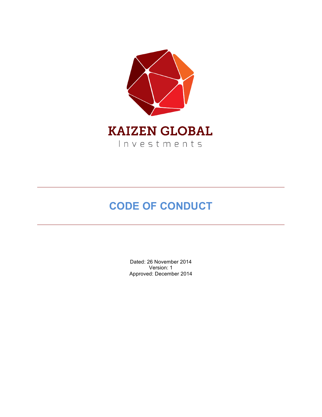

# **CODE OF CONDUCT**

Dated: 26 November 2014 Version: 1 Approved: December 2014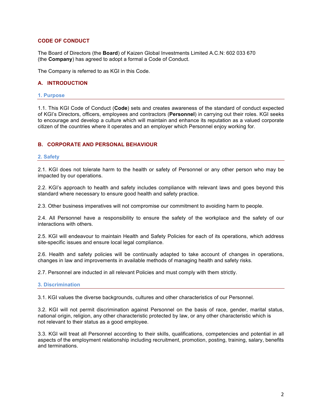# **CODE OF CONDUCT**

The Board of Directors (the **Board**) of Kaizen Global Investments Limited A.C.N: 602 033 670 (the **Company**) has agreed to adopt a formal a Code of Conduct.

The Company is referred to as KGI in this Code.

# **A. INTRODUCTION**

#### **1. Purpose**

1.1. This KGI Code of Conduct (**Code**) sets and creates awareness of the standard of conduct expected of KGI's Directors, officers, employees and contractors (**Personnel**) in carrying out their roles. KGI seeks to encourage and develop a culture which will maintain and enhance its reputation as a valued corporate citizen of the countries where it operates and an employer which Personnel enjoy working for.

# **B. CORPORATE AND PERSONAL BEHAVIOUR**

#### **2. Safety**

2.1. KGI does not tolerate harm to the health or safety of Personnel or any other person who may be impacted by our operations.

2.2. KGI's approach to health and safety includes compliance with relevant laws and goes beyond this standard where necessary to ensure good health and safety practice.

2.3. Other business imperatives will not compromise our commitment to avoiding harm to people.

2.4. All Personnel have a responsibility to ensure the safety of the workplace and the safety of our interactions with others.

2.5. KGI will endeavour to maintain Health and Safety Policies for each of its operations, which address site-specific issues and ensure local legal compliance.

2.6. Health and safety policies will be continually adapted to take account of changes in operations, changes in law and improvements in available methods of managing health and safety risks.

2.7. Personnel are inducted in all relevant Policies and must comply with them strictly.

## **3. Discrimination**

3.1. KGI values the diverse backgrounds, cultures and other characteristics of our Personnel.

3.2. KGI will not permit discrimination against Personnel on the basis of race, gender, marital status, national origin, religion, any other characteristic protected by law, or any other characteristic which is not relevant to their status as a good employee.

3.3. KGI will treat all Personnel according to their skills, qualifications, competencies and potential in all aspects of the employment relationship including recruitment, promotion, posting, training, salary, benefits and terminations.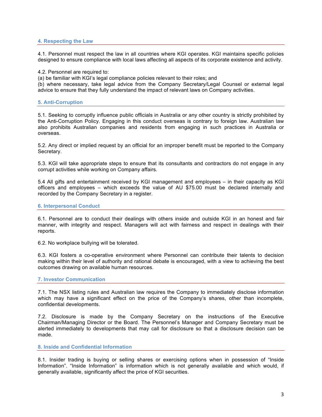## **4. Respecting the Law**

4.1. Personnel must respect the law in all countries where KGI operates. KGI maintains specific policies designed to ensure compliance with local laws affecting all aspects of its corporate existence and activity.

4.2. Personnel are required to:

(a) be familiar with KGI's legal compliance policies relevant to their roles; and

(b) where necessary, take legal advice from the Company Secretary/Legal Counsel or external legal advice to ensure that they fully understand the impact of relevant laws on Company activities.

#### **5. Anti-Corruption**

5.1. Seeking to corruptly influence public officials in Australia or any other country is strictly prohibited by the Anti-Corruption Policy. Engaging in this conduct overseas is contrary to foreign law. Australian law also prohibits Australian companies and residents from engaging in such practices in Australia or overseas.

5.2. Any direct or implied request by an official for an improper benefit must be reported to the Company Secretary.

5.3. KGI will take appropriate steps to ensure that its consultants and contractors do not engage in any corrupt activities while working on Company affairs.

5.4 All gifts and entertainment received by KGI management and employees – in their capacity as KGI officers and employees – which exceeds the value of AU \$75.00 must be declared internally and recorded by the Company Secretary in a register.

#### **6. Interpersonal Conduct**

6.1. Personnel are to conduct their dealings with others inside and outside KGI in an honest and fair manner, with integrity and respect. Managers will act with fairness and respect in dealings with their reports.

6.2. No workplace bullying will be tolerated.

6.3. KGI fosters a co-operative environment where Personnel can contribute their talents to decision making within their level of authority and rational debate is encouraged, with a view to achieving the best outcomes drawing on available human resources.

## **7. Investor Communication**

7.1. The NSX listing rules and Australian law requires the Company to immediately disclose information which may have a significant effect on the price of the Company's shares, other than incomplete, confidential developments.

7.2. Disclosure is made by the Company Secretary on the instructions of the Executive Chairman/Managing Director or the Board. The Personnel's Manager and Company Secretary must be alerted immediately to developments that may call for disclosure so that a disclosure decision can be made.

**8. Inside and Confidential Information**

8.1. Insider trading is buying or selling shares or exercising options when in possession of "Inside Information". "Inside Information" is information which is not generally available and which would, if generally available, significantly affect the price of KGI securities.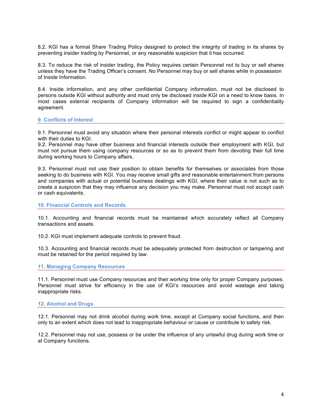8.2. KGI has a formal Share Trading Policy designed to protect the integrity of trading in its shares by preventing insider trading by Personnel, or any reasonable suspicion that it has occurred.

8.3. To reduce the risk of insider trading, the Policy requires certain Personnel not to buy or sell shares unless they have the Trading Officer's consent. No Personnel may buy or sell shares while in possession of Inside Information.

8.4. Inside information, and any other confidential Company information, must not be disclosed to persons outside KGI without authority and must only be disclosed inside KGI on a need to know basis. In most cases external recipients of Company information will be required to sign a confidentiality agreement.

#### **9. Conflicts of Interest**

9.1. Personnel must avoid any situation where their personal interests conflict or might appear to conflict with their duties to KGI.

9.2. Personnel may have other business and financial interests outside their employment with KGI, but must not pursue them using company resources or so as to prevent them from devoting their full time during working hours to Company affairs.

9.3. Personnel must not use their position to obtain benefits for themselves or associates from those seeking to do business with KGI. You may receive small gifts and reasonable entertainment from persons and companies with actual or potential business dealings with KGI, where their value is not such as to create a suspicion that they may influence any decision you may make. Personnel must not accept cash or cash equivalents.

#### **10. Financial Controls and Records**

10.1. Accounting and financial records must be maintained which accurately reflect all Company transactions and assets.

10.2. KGI must implement adequate controls to prevent fraud.

10.3. Accounting and financial records must be adequately protected from destruction or tampering and must be retained for the period required by law.

## **11. Managing Company Resources**

11.1. Personnel must use Company resources and their working time only for proper Company purposes. Personnel must strive for efficiency in the use of KGI's resources and avoid wastage and taking inappropriate risks.

## **12. Alcohol and Drugs**

12.1. Personnel may not drink alcohol during work time, except at Company social functions, and then only to an extent which does not lead to inappropriate behaviour or cause or contribute to safety risk.

12.2. Personnel may not use, possess or be under the influence of any unlawful drug during work time or at Company functions.